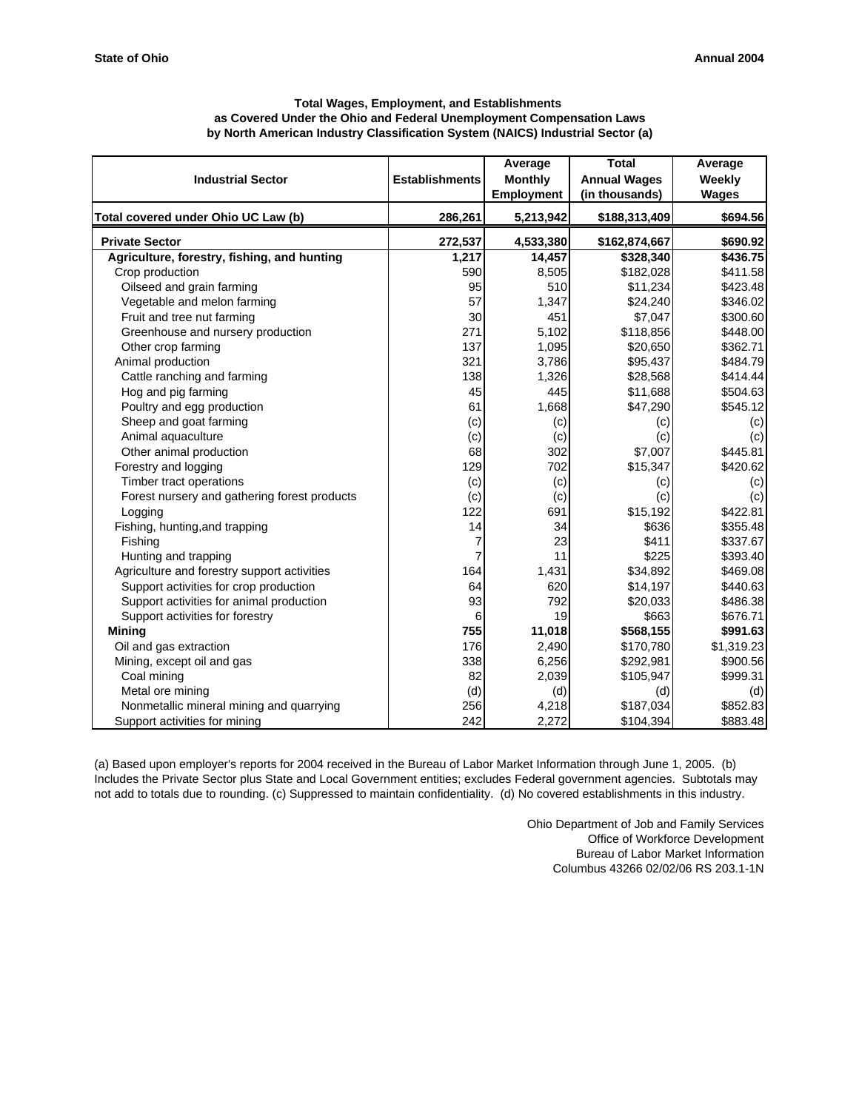| <b>Total Wages, Employment, and Establishments</b>                             |
|--------------------------------------------------------------------------------|
| as Covered Under the Ohio and Federal Unemployment Compensation Laws           |
| by North American Industry Classification System (NAICS) Industrial Sector (a) |

| <b>Industrial Sector</b>                     | <b>Establishments</b> | Average<br><b>Monthly</b><br><b>Employment</b> | <b>Total</b><br><b>Annual Wages</b><br>(in thousands) | Average<br>Weekly<br><b>Wages</b> |
|----------------------------------------------|-----------------------|------------------------------------------------|-------------------------------------------------------|-----------------------------------|
| Total covered under Ohio UC Law (b)          | 286,261               | 5,213,942                                      | \$188,313,409                                         | \$694.56                          |
| <b>Private Sector</b>                        | 272,537               | 4,533,380                                      | \$162,874,667                                         | \$690.92                          |
| Agriculture, forestry, fishing, and hunting  | 1,217                 | 14,457                                         | \$328,340                                             | \$436.75                          |
| Crop production                              | 590                   | 8,505                                          | \$182,028                                             | \$411.58                          |
| Oilseed and grain farming                    | 95                    | 510                                            | \$11,234                                              | \$423.48                          |
| Vegetable and melon farming                  | 57                    | 1,347                                          | \$24,240                                              | \$346.02                          |
| Fruit and tree nut farming                   | 30                    | 451                                            | \$7,047                                               | \$300.60                          |
| Greenhouse and nursery production            | 271                   | 5,102                                          | \$118,856                                             | \$448.00                          |
| Other crop farming                           | 137                   | 1,095                                          | \$20,650                                              | \$362.71                          |
| Animal production                            | 321                   | 3,786                                          | \$95,437                                              | \$484.79                          |
| Cattle ranching and farming                  | 138                   | 1,326                                          | \$28,568                                              | \$414.44]                         |
| Hog and pig farming                          | 45                    | 445                                            | \$11,688                                              | \$504.63                          |
| Poultry and egg production                   | 61                    | 1,668                                          | \$47,290                                              | \$545.12                          |
| Sheep and goat farming                       | (c)                   | (c)                                            | (c)                                                   | (c)                               |
| Animal aquaculture                           | (c)                   | (c)                                            | (c)                                                   | (c)                               |
| Other animal production                      | 68                    | 302                                            | \$7,007                                               | \$445.81                          |
| Forestry and logging                         | 129                   | 702                                            | \$15,347                                              | \$420.62                          |
| Timber tract operations                      | (c)                   | (c)                                            | (c)                                                   | (c)                               |
| Forest nursery and gathering forest products | (c)                   | (c)                                            | (c)                                                   | (c)                               |
| Logging                                      | 122                   | 691                                            | \$15,192                                              | \$422.81                          |
| Fishing, hunting, and trapping               | 14                    | 34                                             | \$636                                                 | \$355.48                          |
| Fishing                                      | 7                     | 23                                             | \$411                                                 | \$337.67                          |
| Hunting and trapping                         | 7                     | 11                                             | \$225                                                 | \$393.40                          |
| Agriculture and forestry support activities  | 164                   | 1,431                                          | \$34,892                                              | \$469.08                          |
| Support activities for crop production       | 64                    | 620                                            | \$14,197                                              | \$440.63                          |
| Support activities for animal production     | 93                    | 792                                            | \$20,033                                              | \$486.38                          |
| Support activities for forestry              | 6                     | 19                                             | \$663                                                 | \$676.71                          |
| <b>Mining</b>                                | 755                   | 11,018                                         | \$568,155                                             | \$991.63                          |
| Oil and gas extraction                       | 176                   | 2,490                                          | \$170,780                                             | \$1,319.23                        |
| Mining, except oil and gas                   | 338                   | 6,256                                          | \$292,981                                             | \$900.56                          |
| Coal mining                                  | 82                    | 2,039                                          | \$105,947                                             | \$999.31                          |
| Metal ore mining                             | (d)                   | (d)                                            | (d)                                                   | (d)                               |
| Nonmetallic mineral mining and quarrying     | 256                   | 4,218                                          | \$187,034                                             | \$852.83                          |
| Support activities for mining                | 242                   | 2,272                                          | \$104,394                                             | \$883.48                          |

(a) Based upon employer's reports for 2004 received in the Bureau of Labor Market Information through June 1, 2005. (b) Includes the Private Sector plus State and Local Government entities; excludes Federal government agencies. Subtotals may not add to totals due to rounding. (c) Suppressed to maintain confidentiality. (d) No covered establishments in this industry.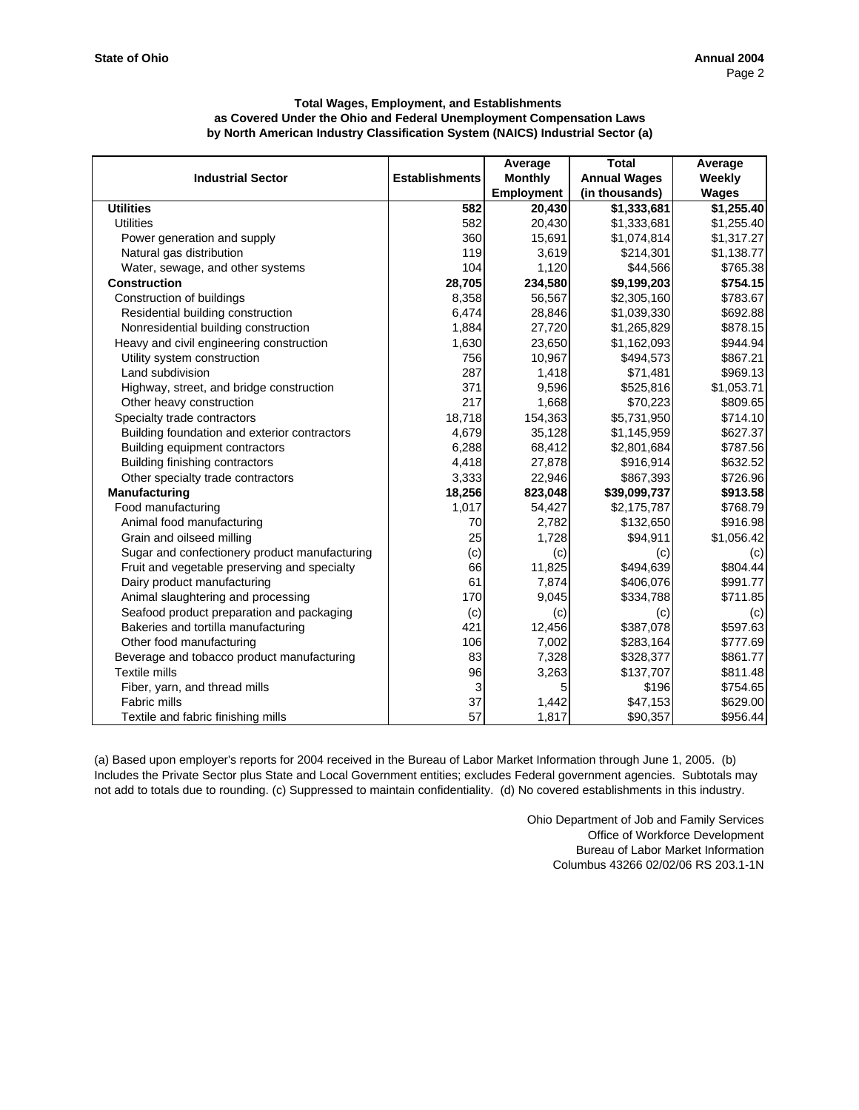|                                               |                       | Average           | <b>Total</b>        | Average      |
|-----------------------------------------------|-----------------------|-------------------|---------------------|--------------|
| <b>Industrial Sector</b>                      | <b>Establishments</b> | <b>Monthly</b>    | <b>Annual Wages</b> | Weekly       |
|                                               |                       | <b>Employment</b> | (in thousands)      | <b>Wages</b> |
| <b>Utilities</b>                              | 582                   | 20,430            | \$1,333,681         | \$1,255.40   |
| <b>Utilities</b>                              | 582                   | 20,430            | \$1,333,681         | \$1,255.40   |
| Power generation and supply                   | 360                   | 15,691            | \$1,074,814         | \$1,317.27   |
| Natural gas distribution                      | 119                   | 3,619             | \$214,301           | \$1,138.77   |
| Water, sewage, and other systems              | 104                   | 1,120             | \$44,566            | \$765.38     |
| <b>Construction</b>                           | 28,705                | 234,580           | \$9,199,203         | \$754.15     |
| Construction of buildings                     | 8,358                 | 56,567            | \$2,305,160         | \$783.67     |
| Residential building construction             | 6,474                 | 28,846            | \$1,039,330         | \$692.88     |
| Nonresidential building construction          | 1,884                 | 27,720            | \$1,265,829         | \$878.15     |
| Heavy and civil engineering construction      | 1,630                 | 23,650            | \$1,162,093         | \$944.94     |
| Utility system construction                   | 756                   | 10,967            | \$494,573           | \$867.21     |
| Land subdivision                              | 287                   | 1,418             | \$71,481            | \$969.13     |
| Highway, street, and bridge construction      | 371                   | 9,596             | \$525,816           | \$1,053.71   |
| Other heavy construction                      | 217                   | 1,668             | \$70,223            | \$809.65     |
| Specialty trade contractors                   | 18,718                | 154,363           | \$5,731,950         | \$714.10     |
| Building foundation and exterior contractors  | 4,679                 | 35,128            | \$1,145,959         | \$627.37     |
| Building equipment contractors                | 6,288                 | 68,412            | \$2,801,684         | \$787.56     |
| Building finishing contractors                | 4,418                 | 27,878            | \$916,914           | \$632.52     |
| Other specialty trade contractors             | 3,333                 | 22,946            | \$867,393           | \$726.96     |
| Manufacturing                                 | 18,256                | 823,048           | \$39,099,737        | \$913.58     |
| Food manufacturing                            | 1,017                 | 54,427            | \$2,175,787         | \$768.79     |
| Animal food manufacturing                     | 70                    | 2,782             | \$132,650           | \$916.98     |
| Grain and oilseed milling                     | 25                    | 1,728             | \$94,911            | \$1,056.42   |
| Sugar and confectionery product manufacturing | (c)                   | (c)               | (c)                 | (c)          |
| Fruit and vegetable preserving and specialty  | 66                    | 11,825            | \$494,639           | \$804.44     |
| Dairy product manufacturing                   | 61                    | 7,874             | \$406,076           | \$991.77     |
| Animal slaughtering and processing            | 170                   | 9,045             | \$334,788           | \$711.85     |
| Seafood product preparation and packaging     | (c)                   | (c)               | (c)                 | (c)          |
| Bakeries and tortilla manufacturing           | 421                   | 12,456            | \$387,078           | \$597.63     |
| Other food manufacturing                      | 106                   | 7,002             | \$283,164           | \$777.69     |
| Beverage and tobacco product manufacturing    | 83                    | 7,328             | \$328,377           | \$861.77     |
| <b>Textile mills</b>                          | 96                    | 3,263             | \$137,707           | \$811.48     |
| Fiber, yarn, and thread mills                 | 3                     | 5                 | \$196               | \$754.65     |
| <b>Fabric mills</b>                           | 37                    | 1,442             | \$47,153            | \$629.00     |
| Textile and fabric finishing mills            | 57                    | 1,817             | \$90,357            | \$956.44     |

(a) Based upon employer's reports for 2004 received in the Bureau of Labor Market Information through June 1, 2005. (b) Includes the Private Sector plus State and Local Government entities; excludes Federal government agencies. Subtotals may not add to totals due to rounding. (c) Suppressed to maintain confidentiality. (d) No covered establishments in this industry.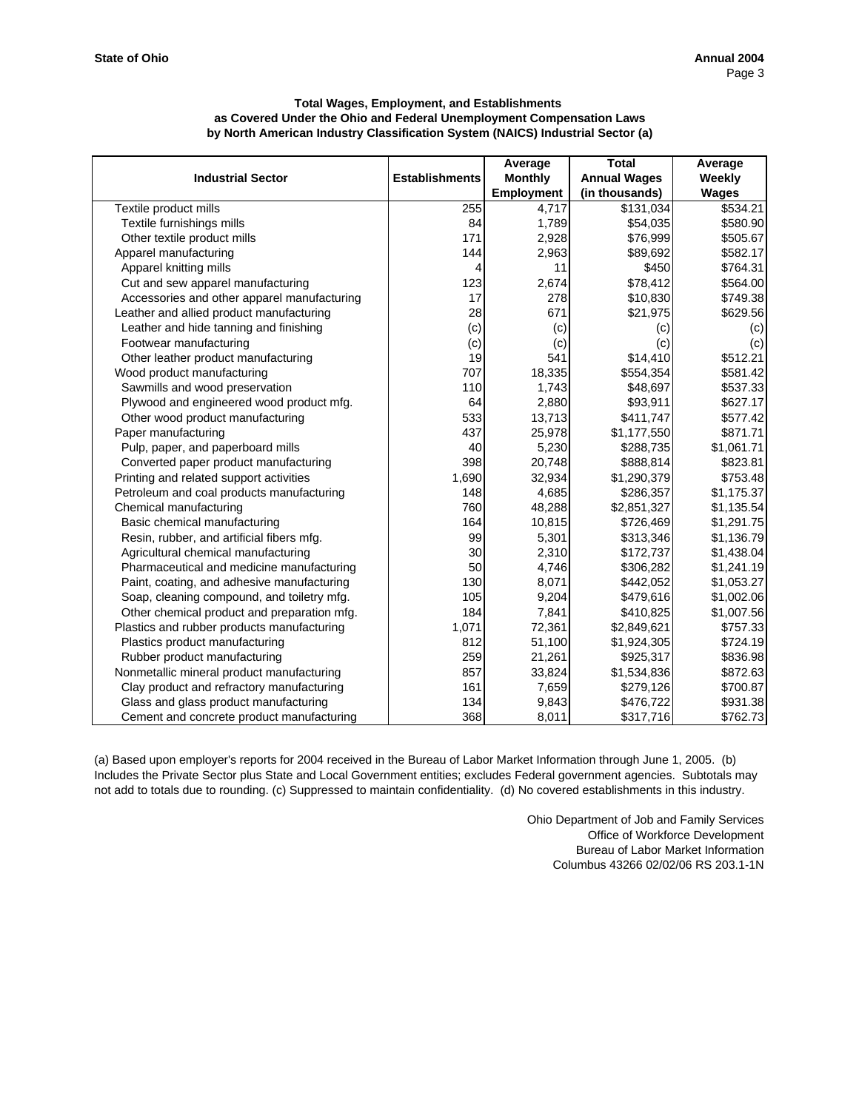|                                             |                       | Average           | <b>Total</b>        | Average      |
|---------------------------------------------|-----------------------|-------------------|---------------------|--------------|
| <b>Industrial Sector</b>                    | <b>Establishments</b> | <b>Monthly</b>    | <b>Annual Wages</b> | Weekly       |
|                                             |                       | <b>Employment</b> | (in thousands)      | <b>Wages</b> |
| Textile product mills                       | 255                   | 4,717             | \$131,034           | \$534.21     |
| Textile furnishings mills                   | 84                    | 1,789             | \$54,035            | \$580.90     |
| Other textile product mills                 | 171                   | 2,928             | \$76,999            | \$505.67     |
| Apparel manufacturing                       | 144                   | 2,963             | \$89,692            | \$582.17     |
| Apparel knitting mills                      | 4                     | 11                | \$450               | \$764.31     |
| Cut and sew apparel manufacturing           | 123                   | 2,674             | \$78,412            | \$564.00     |
| Accessories and other apparel manufacturing | 17                    | 278               | \$10,830            | \$749.38     |
| Leather and allied product manufacturing    | 28                    | 671               | \$21,975            | \$629.56     |
| Leather and hide tanning and finishing      | (c)                   | (c)               | (c)                 | (c)          |
| Footwear manufacturing                      | (c)                   | (c)               | (c)                 | (c)          |
| Other leather product manufacturing         | 19                    | 541               | \$14,410            | \$512.21     |
| Wood product manufacturing                  | 707                   | 18,335            | \$554,354           | \$581.42     |
| Sawmills and wood preservation              | 110                   | 1,743             | \$48,697            | \$537.33     |
| Plywood and engineered wood product mfg.    | 64                    | 2,880             | \$93,911            | \$627.17     |
| Other wood product manufacturing            | 533                   | 13,713            | \$411,747           | \$577.42     |
| Paper manufacturing                         | 437                   | 25,978            | \$1,177,550         | \$871.71     |
| Pulp, paper, and paperboard mills           | 40                    | 5,230             | \$288,735           | \$1,061.71   |
| Converted paper product manufacturing       | 398                   | 20,748            | \$888,814           | \$823.81     |
| Printing and related support activities     | 1,690                 | 32,934            | \$1,290,379         | \$753.48     |
| Petroleum and coal products manufacturing   | 148                   | 4,685             | \$286,357           | \$1,175.37   |
| Chemical manufacturing                      | 760                   | 48,288            | \$2,851,327         | \$1,135.54   |
| Basic chemical manufacturing                | 164                   | 10,815            | \$726,469           | \$1,291.75   |
| Resin, rubber, and artificial fibers mfg.   | 99                    | 5,301             | \$313,346           | \$1,136.79   |
| Agricultural chemical manufacturing         | 30                    | 2,310             | \$172,737           | \$1,438.04   |
| Pharmaceutical and medicine manufacturing   | 50                    | 4,746             | \$306,282           | \$1,241.19   |
| Paint, coating, and adhesive manufacturing  | 130                   | 8,071             | \$442,052           | \$1,053.27   |
| Soap, cleaning compound, and toiletry mfg.  | 105                   | 9,204             | \$479,616           | \$1,002.06   |
| Other chemical product and preparation mfg. | 184                   | 7,841             | \$410,825           | \$1,007.56   |
| Plastics and rubber products manufacturing  | 1,071                 | 72,361            | \$2,849,621         | \$757.33     |
| Plastics product manufacturing              | 812                   | 51,100            | \$1,924,305         | \$724.19     |
| Rubber product manufacturing                | 259                   | 21,261            | \$925,317           | \$836.98     |
| Nonmetallic mineral product manufacturing   | 857                   | 33,824            | \$1,534,836         | \$872.63     |
| Clay product and refractory manufacturing   | 161                   | 7,659             | \$279,126           | \$700.87     |
| Glass and glass product manufacturing       | 134                   | 9,843             | \$476,722           | \$931.38     |
| Cement and concrete product manufacturing   | 368                   | 8,011             | \$317,716           | \$762.73     |

(a) Based upon employer's reports for 2004 received in the Bureau of Labor Market Information through June 1, 2005. (b) Includes the Private Sector plus State and Local Government entities; excludes Federal government agencies. Subtotals may not add to totals due to rounding. (c) Suppressed to maintain confidentiality. (d) No covered establishments in this industry.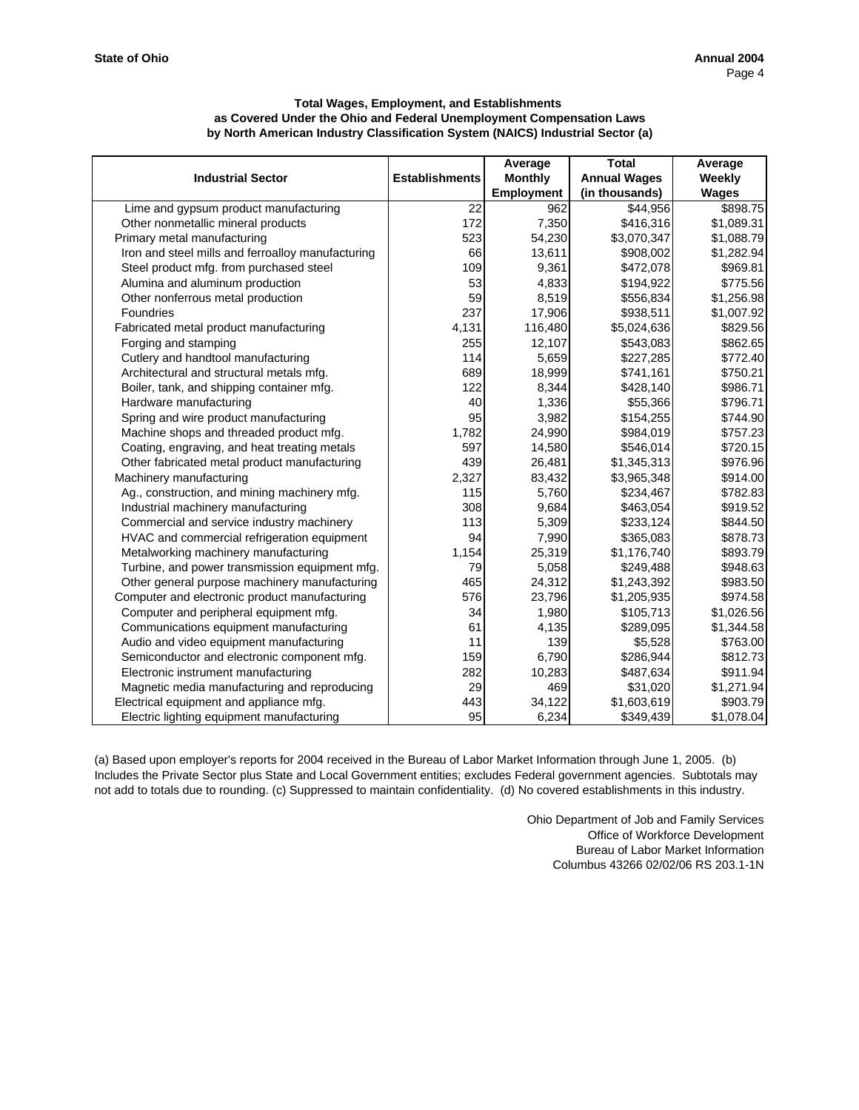|                                                   |                       | Average           | <b>Total</b>        | Average      |
|---------------------------------------------------|-----------------------|-------------------|---------------------|--------------|
| <b>Industrial Sector</b>                          | <b>Establishments</b> | <b>Monthly</b>    | <b>Annual Wages</b> | Weekly       |
|                                                   |                       | <b>Employment</b> | (in thousands)      | <b>Wages</b> |
| Lime and gypsum product manufacturing             | 22                    | 962               | \$44,956            | \$898.75     |
| Other nonmetallic mineral products                | 172                   | 7,350             | \$416,316           | \$1,089.31   |
| Primary metal manufacturing                       | 523                   | 54,230            | \$3,070,347         | \$1,088.79   |
| Iron and steel mills and ferroalloy manufacturing | 66                    | 13,611            | \$908,002           | \$1,282.94   |
| Steel product mfg. from purchased steel           | 109                   | 9,361             | \$472,078           | \$969.81     |
| Alumina and aluminum production                   | 53                    | 4,833             | \$194,922           | \$775.56     |
| Other nonferrous metal production                 | 59                    | 8,519             | \$556,834           | \$1,256.98   |
| Foundries                                         | 237                   | 17,906            | \$938,511           | \$1,007.92   |
| Fabricated metal product manufacturing            | 4,131                 | 116,480           | \$5,024,636         | \$829.56     |
| Forging and stamping                              | 255                   | 12,107            | \$543,083           | \$862.65     |
| Cutlery and handtool manufacturing                | 114                   | 5,659             | \$227,285           | \$772.40     |
| Architectural and structural metals mfg.          | 689                   | 18,999            | \$741,161           | \$750.21     |
| Boiler, tank, and shipping container mfg.         | 122                   | 8,344             | \$428,140           | \$986.71     |
| Hardware manufacturing                            | 40                    | 1,336             | \$55,366            | \$796.71     |
| Spring and wire product manufacturing             | 95                    | 3,982             | \$154,255           | \$744.90     |
| Machine shops and threaded product mfg.           | 1,782                 | 24,990            | \$984,019           | \$757.23     |
| Coating, engraving, and heat treating metals      | 597                   | 14,580            | \$546,014           | \$720.15     |
| Other fabricated metal product manufacturing      | 439                   | 26,481            | \$1,345,313         | \$976.96     |
| Machinery manufacturing                           | 2,327                 | 83,432            | \$3,965,348         | \$914.00     |
| Ag., construction, and mining machinery mfg.      | 115                   | 5,760             | \$234,467           | \$782.83     |
| Industrial machinery manufacturing                | 308                   | 9,684             | \$463,054           | \$919.52     |
| Commercial and service industry machinery         | 113                   | 5,309             | \$233,124           | \$844.50     |
| HVAC and commercial refrigeration equipment       | 94                    | 7,990             | \$365,083           | \$878.73     |
| Metalworking machinery manufacturing              | 1,154                 | 25,319            | \$1,176,740         | \$893.79     |
| Turbine, and power transmission equipment mfg.    | 79                    | 5,058             | \$249,488           | \$948.63     |
| Other general purpose machinery manufacturing     | 465                   | 24,312            | \$1,243,392         | \$983.50     |
| Computer and electronic product manufacturing     | 576                   | 23,796            | \$1,205,935         | \$974.58     |
| Computer and peripheral equipment mfg.            | 34                    | 1,980             | \$105,713           | \$1,026.56   |
| Communications equipment manufacturing            | 61                    | 4,135             | \$289,095           | \$1,344.58   |
| Audio and video equipment manufacturing           | 11                    | 139               | \$5,528             | \$763.00     |
| Semiconductor and electronic component mfg.       | 159                   | 6,790             | \$286,944           | \$812.73     |
| Electronic instrument manufacturing               | 282                   | 10,283            | \$487,634           | \$911.94     |
| Magnetic media manufacturing and reproducing      | 29                    | 469               | \$31,020            | \$1,271.94   |
| Electrical equipment and appliance mfg.           | 443                   | 34,122            | \$1,603,619         | \$903.79     |
| Electric lighting equipment manufacturing         | 95                    | 6,234             | \$349,439           | \$1,078.04   |

(a) Based upon employer's reports for 2004 received in the Bureau of Labor Market Information through June 1, 2005. (b) Includes the Private Sector plus State and Local Government entities; excludes Federal government agencies. Subtotals may not add to totals due to rounding. (c) Suppressed to maintain confidentiality. (d) No covered establishments in this industry.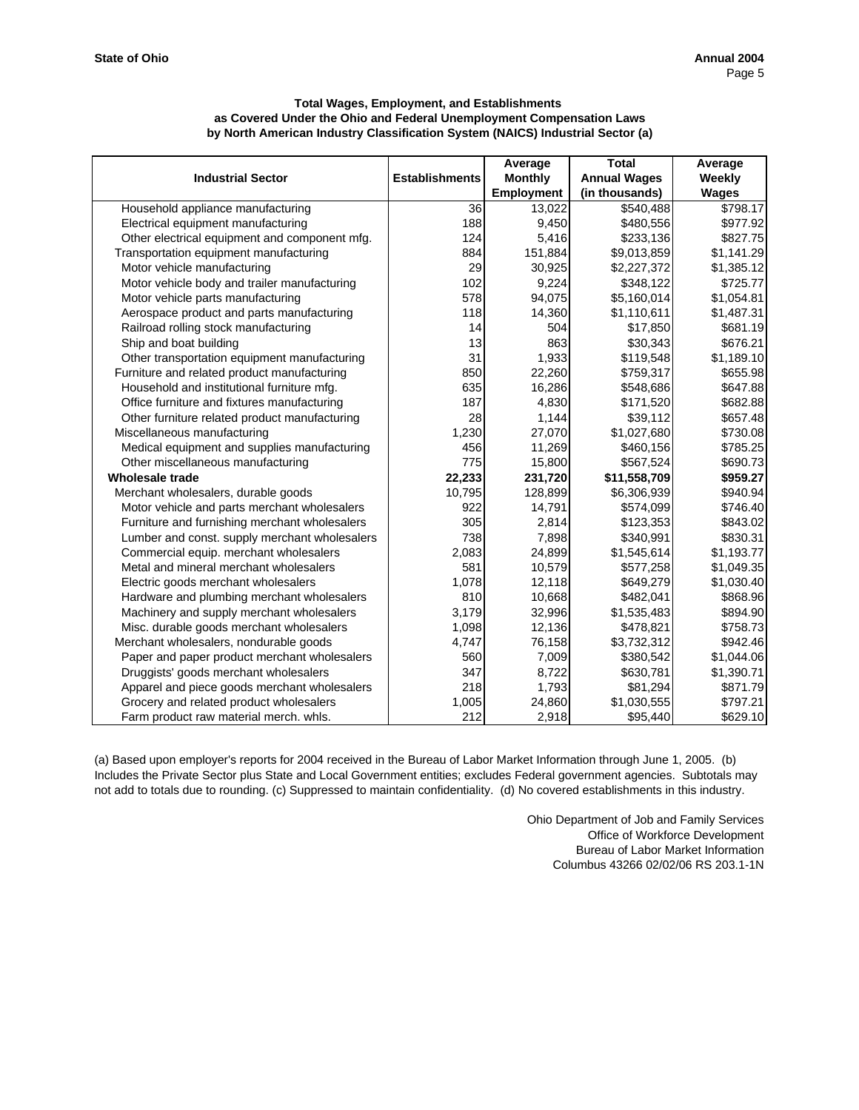|                                               |                       | Average           | <b>Total</b>        | Average      |
|-----------------------------------------------|-----------------------|-------------------|---------------------|--------------|
| <b>Industrial Sector</b>                      | <b>Establishments</b> | <b>Monthly</b>    | <b>Annual Wages</b> | Weekly       |
|                                               |                       | <b>Employment</b> | (in thousands)      | <b>Wages</b> |
| Household appliance manufacturing             | 36                    | 13,022            | \$540,488           | \$798.17     |
| Electrical equipment manufacturing            | 188                   | 9,450             | \$480,556           | \$977.92     |
| Other electrical equipment and component mfg. | 124                   | 5,416             | \$233,136           | \$827.75     |
| Transportation equipment manufacturing        | 884                   | 151,884           | \$9,013,859         | \$1,141.29   |
| Motor vehicle manufacturing                   | 29                    | 30,925            | \$2,227,372         | \$1,385.12   |
| Motor vehicle body and trailer manufacturing  | 102                   | 9,224             | \$348,122           | \$725.77     |
| Motor vehicle parts manufacturing             | 578                   | 94,075            | \$5,160,014         | \$1,054.81   |
| Aerospace product and parts manufacturing     | 118                   | 14,360            | \$1,110,611         | \$1,487.31   |
| Railroad rolling stock manufacturing          | 14                    | 504               | \$17,850            | \$681.19     |
| Ship and boat building                        | 13                    | 863               | \$30,343            | \$676.21     |
| Other transportation equipment manufacturing  | 31                    | 1,933             | \$119,548           | \$1,189.10   |
| Furniture and related product manufacturing   | 850                   | 22,260            | \$759,317           | \$655.98     |
| Household and institutional furniture mfg.    | 635                   | 16,286            | \$548,686           | \$647.88     |
| Office furniture and fixtures manufacturing   | 187                   | 4,830             | \$171,520           | \$682.88     |
| Other furniture related product manufacturing | 28                    | 1,144             | \$39,112            | \$657.48     |
| Miscellaneous manufacturing                   | 1,230                 | 27,070            | \$1,027,680         | \$730.08     |
| Medical equipment and supplies manufacturing  | 456                   | 11,269            | \$460,156           | \$785.25     |
| Other miscellaneous manufacturing             | 775                   | 15,800            | \$567,524           | \$690.73     |
| <b>Wholesale trade</b>                        | 22,233                | 231,720           | \$11,558,709        | \$959.27     |
| Merchant wholesalers, durable goods           | 10,795                | 128,899           | \$6,306,939         | \$940.94     |
| Motor vehicle and parts merchant wholesalers  | 922                   | 14,791            | \$574,099           | \$746.40     |
| Furniture and furnishing merchant wholesalers | 305                   | 2,814             | \$123,353           | \$843.02     |
| Lumber and const. supply merchant wholesalers | 738                   | 7,898             | \$340,991           | \$830.31     |
| Commercial equip. merchant wholesalers        | 2,083                 | 24,899            | \$1,545,614         | \$1,193.77   |
| Metal and mineral merchant wholesalers        | 581                   | 10,579            | \$577,258           | \$1,049.35   |
| Electric goods merchant wholesalers           | 1,078                 | 12,118            | \$649,279           | \$1,030.40   |
| Hardware and plumbing merchant wholesalers    | 810                   | 10,668            | \$482,041           | \$868.96     |
| Machinery and supply merchant wholesalers     | 3,179                 | 32,996            | \$1,535,483         | \$894.90     |
| Misc. durable goods merchant wholesalers      | 1,098                 | 12,136            | \$478,821           | \$758.73     |
| Merchant wholesalers, nondurable goods        | 4,747                 | 76,158            | \$3,732,312         | \$942.46     |
| Paper and paper product merchant wholesalers  | 560                   | 7,009             | \$380,542           | \$1,044.06   |
| Druggists' goods merchant wholesalers         | 347                   | 8,722             | \$630,781           | \$1,390.71   |
| Apparel and piece goods merchant wholesalers  | 218                   | 1,793             | \$81,294            | \$871.79     |
| Grocery and related product wholesalers       | 1,005                 | 24,860            | \$1,030,555         | \$797.21     |
| Farm product raw material merch. whls.        | 212                   | 2,918             | \$95,440            | \$629.10     |

(a) Based upon employer's reports for 2004 received in the Bureau of Labor Market Information through June 1, 2005. (b) Includes the Private Sector plus State and Local Government entities; excludes Federal government agencies. Subtotals may not add to totals due to rounding. (c) Suppressed to maintain confidentiality. (d) No covered establishments in this industry.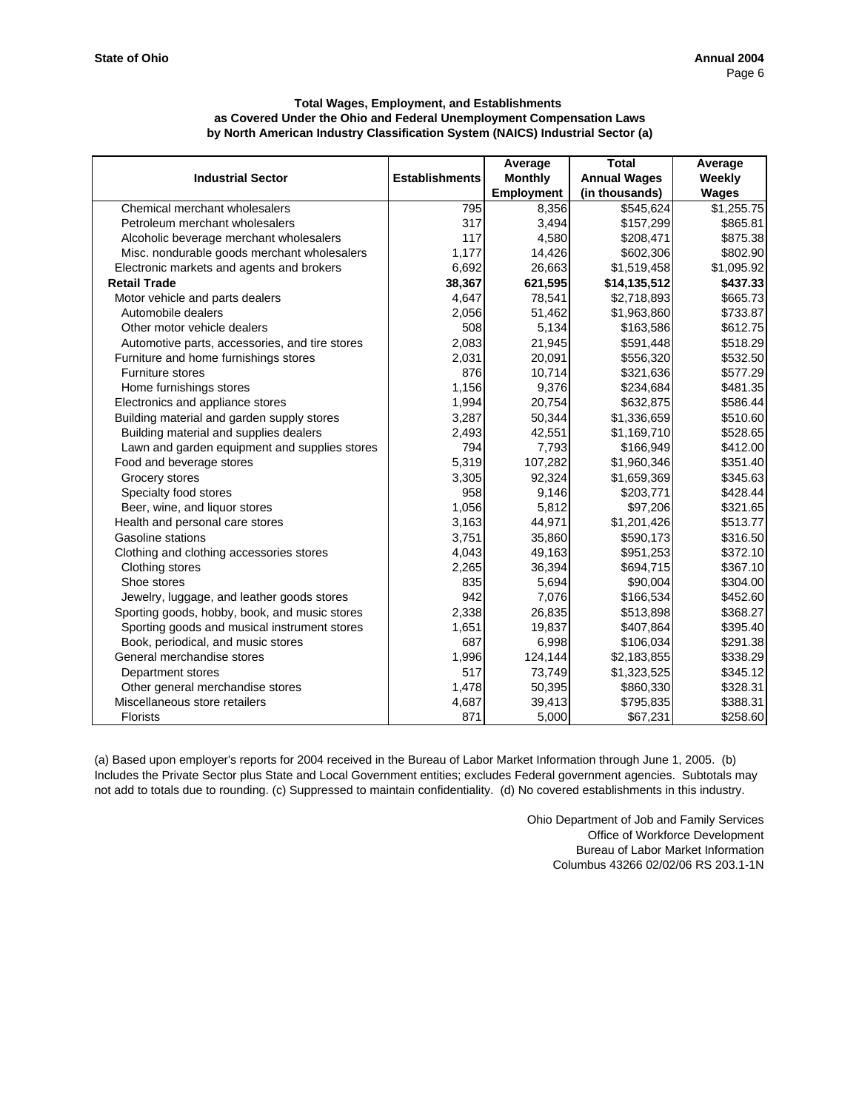|                                                |                       | Average           | <b>Total</b>        | Average    |
|------------------------------------------------|-----------------------|-------------------|---------------------|------------|
| <b>Industrial Sector</b>                       | <b>Establishments</b> | <b>Monthly</b>    | <b>Annual Wages</b> | Weekly     |
|                                                |                       | <b>Employment</b> | (in thousands)      | Wages      |
| Chemical merchant wholesalers                  | 795                   | 8,356             | \$545,624           | \$1,255.75 |
| Petroleum merchant wholesalers                 | 317                   | 3,494             | \$157,299           | \$865.81   |
| Alcoholic beverage merchant wholesalers        | 117                   | 4,580             | \$208,471           | \$875.38   |
| Misc. nondurable goods merchant wholesalers    | 1,177                 | 14,426            | \$602,306           | \$802.90   |
| Electronic markets and agents and brokers      | 6,692                 | 26,663            | \$1,519,458         | \$1,095.92 |
| <b>Retail Trade</b>                            | 38,367                | 621,595           | \$14,135,512        | \$437.33   |
| Motor vehicle and parts dealers                | 4,647                 | 78,541            | \$2,718,893         | \$665.73   |
| Automobile dealers                             | 2,056                 | 51,462            | \$1,963,860         | \$733.87   |
| Other motor vehicle dealers                    | 508                   | 5,134             | \$163,586           | \$612.75   |
| Automotive parts, accessories, and tire stores | 2,083                 | 21,945            | \$591,448           | \$518.29   |
| Furniture and home furnishings stores          | 2,031                 | 20,091            | \$556,320           | \$532.50   |
| Furniture stores                               | 876                   | 10,714            | \$321,636           | \$577.29   |
| Home furnishings stores                        | 1,156                 | 9,376             | \$234,684           | \$481.35   |
| Electronics and appliance stores               | 1,994                 | 20,754            | \$632,875           | \$586.44   |
| Building material and garden supply stores     | 3,287                 | 50,344            | \$1,336,659         | \$510.60   |
| Building material and supplies dealers         | 2,493                 | 42,551            | \$1,169,710         | \$528.65   |
| Lawn and garden equipment and supplies stores  | 794                   | 7,793             | \$166,949           | \$412.00   |
| Food and beverage stores                       | 5,319                 | 107,282           | \$1,960,346         | \$351.40   |
| Grocery stores                                 | 3,305                 | 92,324            | \$1,659,369         | \$345.63   |
| Specialty food stores                          | 958                   | 9,146             | \$203,771           | \$428.44   |
| Beer, wine, and liquor stores                  | 1,056                 | 5,812             | \$97,206            | \$321.65   |
| Health and personal care stores                | 3,163                 | 44,971            | \$1,201,426         | \$513.77   |
| Gasoline stations                              | 3,751                 | 35,860            | \$590,173           | \$316.50   |
| Clothing and clothing accessories stores       | 4,043                 | 49,163            | \$951,253           | \$372.10   |
| Clothing stores                                | 2,265                 | 36,394            | \$694,715           | \$367.10   |
| Shoe stores                                    | 835                   | 5,694             | \$90,004            | \$304.00   |
| Jewelry, luggage, and leather goods stores     | 942                   | 7,076             | \$166,534           | \$452.60   |
| Sporting goods, hobby, book, and music stores  | 2,338                 | 26,835            | \$513,898           | \$368.27   |
| Sporting goods and musical instrument stores   | 1,651                 | 19,837            | \$407,864           | \$395.40   |
| Book, periodical, and music stores             | 687                   | 6,998             | \$106,034           | \$291.38   |
| General merchandise stores                     | 1,996                 | 124,144           | \$2,183,855         | \$338.29   |
| Department stores                              | 517                   | 73,749            | \$1,323,525         | \$345.12   |
| Other general merchandise stores               | 1,478                 | 50,395            | \$860,330           | \$328.31   |
| Miscellaneous store retailers                  | 4,687                 | 39,413            | \$795,835           | \$388.31   |
| <b>Florists</b>                                | 871                   | 5,000             | \$67,231            | \$258.60   |

(a) Based upon employer's reports for 2004 received in the Bureau of Labor Market Information through June 1, 2005. (b) Includes the Private Sector plus State and Local Government entities; excludes Federal government agencies. Subtotals may not add to totals due to rounding. (c) Suppressed to maintain confidentiality. (d) No covered establishments in this industry.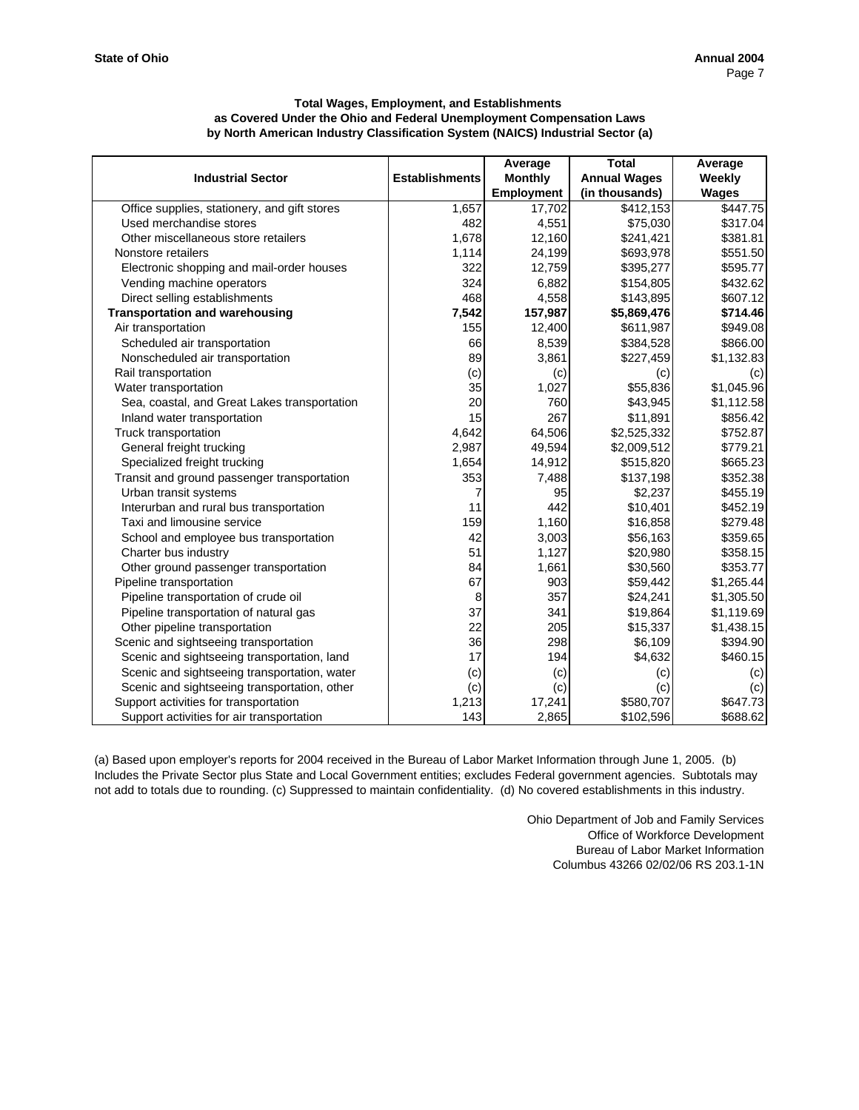|                                              |                       | Average           | <b>Total</b>        | Average      |
|----------------------------------------------|-----------------------|-------------------|---------------------|--------------|
| <b>Industrial Sector</b>                     | <b>Establishments</b> | <b>Monthly</b>    | <b>Annual Wages</b> | Weekly       |
|                                              |                       | <b>Employment</b> | (in thousands)      | <b>Wages</b> |
| Office supplies, stationery, and gift stores | 1,657                 | 17,702            | \$412,153           | \$447.75     |
| Used merchandise stores                      | 482                   | 4,551             | \$75,030            | \$317.04     |
| Other miscellaneous store retailers          | 1,678                 | 12,160            | \$241,421           | \$381.81     |
| Nonstore retailers                           | 1,114                 | 24,199            | \$693,978           | \$551.50     |
| Electronic shopping and mail-order houses    | 322                   | 12,759            | \$395,277           | \$595.77     |
| Vending machine operators                    | 324                   | 6,882             | \$154,805           | \$432.62     |
| Direct selling establishments                | 468                   | 4,558             | \$143,895           | \$607.12     |
| <b>Transportation and warehousing</b>        | 7,542                 | 157,987           | \$5,869,476         | \$714.46     |
| Air transportation                           | 155                   | 12,400            | \$611,987           | \$949.08     |
| Scheduled air transportation                 | 66                    | 8,539             | \$384,528           | \$866.00     |
| Nonscheduled air transportation              | 89                    | 3,861             | \$227,459           | \$1,132.83   |
| Rail transportation                          | (c)                   | (c)               | (c)                 | (c)          |
| Water transportation                         | 35                    | 1,027             | \$55,836            | \$1.045.96   |
| Sea, coastal, and Great Lakes transportation | 20                    | 760               | \$43,945            | \$1,112.58   |
| Inland water transportation                  | 15                    | 267               | \$11,891            | \$856.42     |
| Truck transportation                         | 4,642                 | 64,506            | \$2,525,332         | \$752.87     |
| General freight trucking                     | 2,987                 | 49,594            | \$2,009,512         | \$779.21     |
| Specialized freight trucking                 | 1,654                 | 14,912            | \$515,820           | \$665.23     |
| Transit and ground passenger transportation  | 353                   | 7,488             | \$137,198           | \$352.38     |
| Urban transit systems                        | 7                     | 95                | \$2,237             | \$455.19     |
| Interurban and rural bus transportation      | 11                    | 442               | \$10,401            | \$452.19     |
| Taxi and limousine service                   | 159                   | 1,160             | \$16,858            | \$279.48     |
| School and employee bus transportation       | 42                    | 3,003             | \$56,163            | \$359.65     |
| Charter bus industry                         | 51                    | 1,127             | \$20,980            | \$358.15     |
| Other ground passenger transportation        | 84                    | 1,661             | \$30,560            | \$353.77     |
| Pipeline transportation                      | 67                    | 903               | \$59,442            | \$1,265.44   |
| Pipeline transportation of crude oil         | 8                     | 357               | \$24,241            | \$1,305.50   |
| Pipeline transportation of natural gas       | 37                    | 341               | \$19,864            | \$1,119.69   |
| Other pipeline transportation                | 22                    | 205               | \$15,337            | \$1,438.15   |
| Scenic and sightseeing transportation        | 36                    | 298               | \$6,109             | \$394.90     |
| Scenic and sightseeing transportation, land  | 17                    | 194               | \$4,632             | \$460.15     |
| Scenic and sightseeing transportation, water | (c)                   | (c)               | (c)                 | (c)          |
| Scenic and sightseeing transportation, other | (c)                   | (c)               | (c)                 | (c)          |
| Support activities for transportation        | 1,213                 | 17,241            | \$580,707           | \$647.73     |
| Support activities for air transportation    | 143                   | 2,865             | \$102,596           | \$688.62     |

(a) Based upon employer's reports for 2004 received in the Bureau of Labor Market Information through June 1, 2005. (b) Includes the Private Sector plus State and Local Government entities; excludes Federal government agencies. Subtotals may not add to totals due to rounding. (c) Suppressed to maintain confidentiality. (d) No covered establishments in this industry.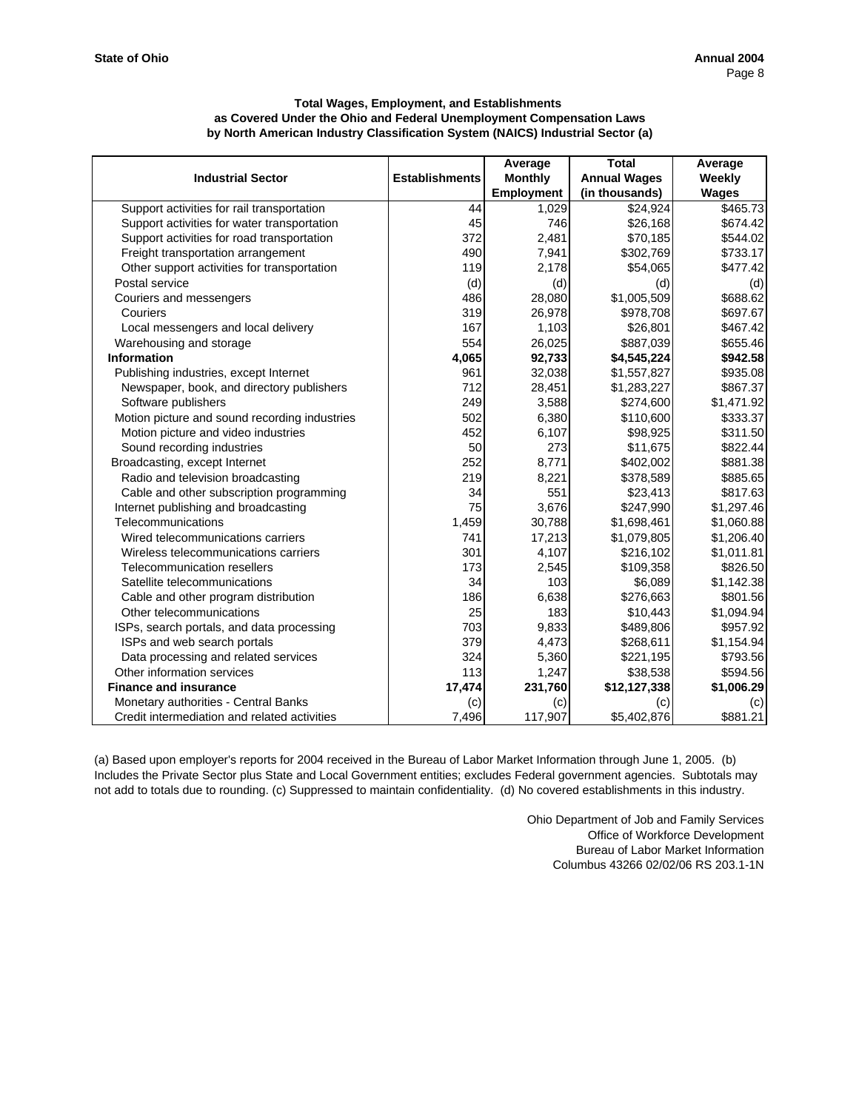|                                               |                       | Average           | <b>Total</b>        | Average      |
|-----------------------------------------------|-----------------------|-------------------|---------------------|--------------|
| <b>Industrial Sector</b>                      | <b>Establishments</b> | <b>Monthly</b>    | <b>Annual Wages</b> | Weekly       |
|                                               |                       | <b>Employment</b> | (in thousands)      | <b>Wages</b> |
| Support activities for rail transportation    | 44                    | 1,029             | \$24,924            | \$465.73     |
| Support activities for water transportation   | 45                    | 746               | \$26,168            | \$674.42     |
| Support activities for road transportation    | 372                   | 2,481             | \$70,185            | \$544.02     |
| Freight transportation arrangement            | 490                   | 7,941             | \$302,769           | \$733.17     |
| Other support activities for transportation   | 119                   | 2,178             | \$54,065            | \$477.42     |
| Postal service                                | (d)                   | (d)               | (d)                 | (d)          |
| Couriers and messengers                       | 486                   | 28,080            | \$1,005,509         | \$688.62     |
| Couriers                                      | 319                   | 26,978            | \$978,708           | \$697.67     |
| Local messengers and local delivery           | 167                   | 1,103             | \$26,801            | \$467.42     |
| Warehousing and storage                       | 554                   | 26,025            | \$887,039           | \$655.46     |
| <b>Information</b>                            | 4,065                 | 92,733            | \$4,545,224         | \$942.58     |
| Publishing industries, except Internet        | 961                   | 32,038            | \$1,557,827         | \$935.08     |
| Newspaper, book, and directory publishers     | 712                   | 28,451            | \$1,283,227         | \$867.37     |
| Software publishers                           | 249                   | 3,588             | \$274,600           | \$1,471.92   |
| Motion picture and sound recording industries | 502                   | 6,380             | \$110,600           | \$333.37     |
| Motion picture and video industries           | 452                   | 6,107             | \$98,925            | \$311.50     |
| Sound recording industries                    | 50                    | 273               | \$11,675            | \$822.44     |
| Broadcasting, except Internet                 | 252                   | 8,771             | \$402,002           | \$881.38     |
| Radio and television broadcasting             | 219                   | 8,221             | \$378,589           | \$885.65     |
| Cable and other subscription programming      | 34                    | 551               | \$23,413            | \$817.63     |
| Internet publishing and broadcasting          | 75                    | 3,676             | \$247,990           | \$1,297.46   |
| Telecommunications                            | 1,459                 | 30,788            | \$1,698,461         | \$1,060.88   |
| Wired telecommunications carriers             | 741                   | 17,213            | \$1,079,805         | \$1,206.40   |
| Wireless telecommunications carriers          | 301                   | 4,107             | \$216,102           | \$1,011.81   |
| Telecommunication resellers                   | 173                   | 2,545             | \$109,358           | \$826.50     |
| Satellite telecommunications                  | 34                    | 103               | \$6,089             | \$1,142.38   |
| Cable and other program distribution          | <b>186</b>            | 6,638             | \$276,663           | \$801.56     |
| Other telecommunications                      | 25                    | 183               | \$10,443            | \$1,094.94   |
| ISPs, search portals, and data processing     | 703                   | 9,833             | \$489,806           | \$957.92     |
| ISPs and web search portals                   | 379                   | 4,473             | \$268,611           | \$1,154.94   |
| Data processing and related services          | 324                   | 5,360             | \$221,195           | \$793.56     |
| Other information services                    | 113                   | 1,247             | \$38,538            | \$594.56     |
| <b>Finance and insurance</b>                  | 17,474                | 231,760           | \$12,127,338        | \$1,006.29   |
| Monetary authorities - Central Banks          | (c)                   | (c)               | (c)                 | (c)          |
| Credit intermediation and related activities  | 7,496                 | 117,907           | \$5,402,876         | \$881.21     |

(a) Based upon employer's reports for 2004 received in the Bureau of Labor Market Information through June 1, 2005. (b) Includes the Private Sector plus State and Local Government entities; excludes Federal government agencies. Subtotals may not add to totals due to rounding. (c) Suppressed to maintain confidentiality. (d) No covered establishments in this industry.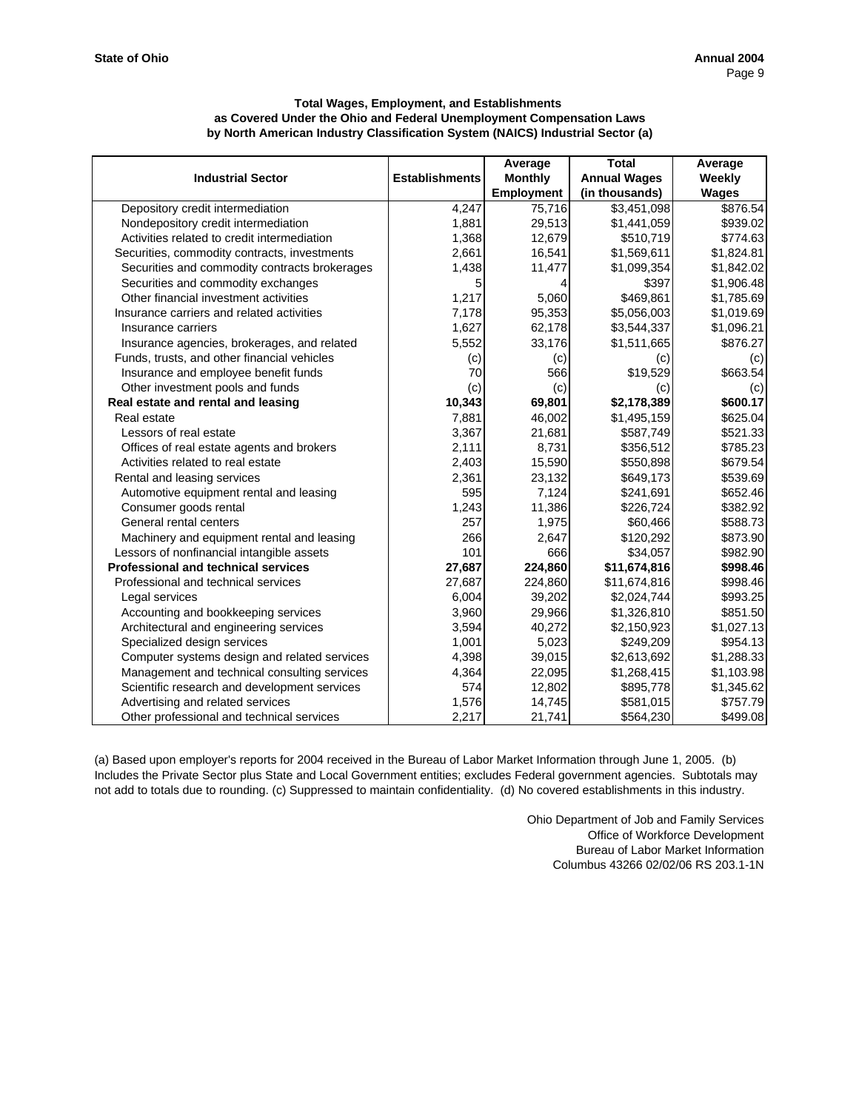|                                               |                       | Average           | <b>Total</b>        | Average    |
|-----------------------------------------------|-----------------------|-------------------|---------------------|------------|
| <b>Industrial Sector</b>                      | <b>Establishments</b> | <b>Monthly</b>    | <b>Annual Wages</b> | Weekly     |
|                                               |                       | <b>Employment</b> | (in thousands)      | Wages      |
| Depository credit intermediation              | 4,247                 | 75,716            | \$3,451,098         | \$876.54   |
| Nondepository credit intermediation           | 1,881                 | 29,513            | \$1,441,059         | \$939.02   |
| Activities related to credit intermediation   | 1,368                 | 12,679            | \$510,719           | \$774.63   |
| Securities, commodity contracts, investments  | 2,661                 | 16,541            | \$1,569,611         | \$1,824.81 |
| Securities and commodity contracts brokerages | 1,438                 | 11,477            | \$1,099,354         | \$1,842.02 |
| Securities and commodity exchanges            | 5                     |                   | \$397               | \$1,906.48 |
| Other financial investment activities         | 1,217                 | 5,060             | \$469,861           | \$1,785.69 |
| Insurance carriers and related activities     | 7,178                 | 95,353            | \$5,056,003         | \$1,019.69 |
| Insurance carriers                            | 1,627                 | 62,178            | \$3,544,337         | \$1,096.21 |
| Insurance agencies, brokerages, and related   | 5,552                 | 33,176            | \$1,511,665         | \$876.27   |
| Funds, trusts, and other financial vehicles   | (c)                   | (c)               | (c)                 | (c)        |
| Insurance and employee benefit funds          | 70                    | 566               | \$19,529            | \$663.54   |
| Other investment pools and funds              | (c)                   | (c)               | (c)                 | (c)        |
| Real estate and rental and leasing            | 10,343                | 69,801            | \$2,178,389         | \$600.17   |
| Real estate                                   | 7,881                 | 46,002            | \$1,495,159         | \$625.04   |
| Lessors of real estate                        | 3,367                 | 21,681            | \$587,749           | \$521.33   |
| Offices of real estate agents and brokers     | 2,111                 | 8,731             | \$356,512           | \$785.23   |
| Activities related to real estate             | 2,403                 | 15,590            | \$550,898           | \$679.54   |
| Rental and leasing services                   | 2,361                 | 23,132            | \$649,173           | \$539.69   |
| Automotive equipment rental and leasing       | 595                   | 7,124             | \$241,691           | \$652.46   |
| Consumer goods rental                         | 1,243                 | 11,386            | \$226,724           | \$382.92   |
| General rental centers                        | 257                   | 1,975             | \$60,466            | \$588.73   |
| Machinery and equipment rental and leasing    | 266                   | 2,647             | \$120,292           | \$873.90   |
| Lessors of nonfinancial intangible assets     | 101                   | 666               | \$34,057            | \$982.90   |
| <b>Professional and technical services</b>    | 27,687                | 224,860           | \$11,674,816        | \$998.46   |
| Professional and technical services           | 27,687                | 224,860           | \$11,674,816        | \$998.46   |
| Legal services                                | 6,004                 | 39,202            | \$2,024,744         | \$993.25   |
| Accounting and bookkeeping services           | 3,960                 | 29,966            | \$1,326,810         | \$851.50   |
| Architectural and engineering services        | 3,594                 | 40,272            | \$2,150,923         | \$1,027.13 |
| Specialized design services                   | 1,001                 | 5,023             | \$249,209           | \$954.13   |
| Computer systems design and related services  | 4,398                 | 39,015            | \$2,613,692         | \$1,288.33 |
| Management and technical consulting services  | 4,364                 | 22,095            | \$1,268,415         | \$1,103.98 |
| Scientific research and development services  | 574                   | 12,802            | \$895,778           | \$1,345.62 |
| Advertising and related services              | 1,576                 | 14,745            | \$581,015           | \$757.79   |
| Other professional and technical services     | 2,217                 | 21,741            | \$564,230           | \$499.08   |

(a) Based upon employer's reports for 2004 received in the Bureau of Labor Market Information through June 1, 2005. (b) Includes the Private Sector plus State and Local Government entities; excludes Federal government agencies. Subtotals may not add to totals due to rounding. (c) Suppressed to maintain confidentiality. (d) No covered establishments in this industry.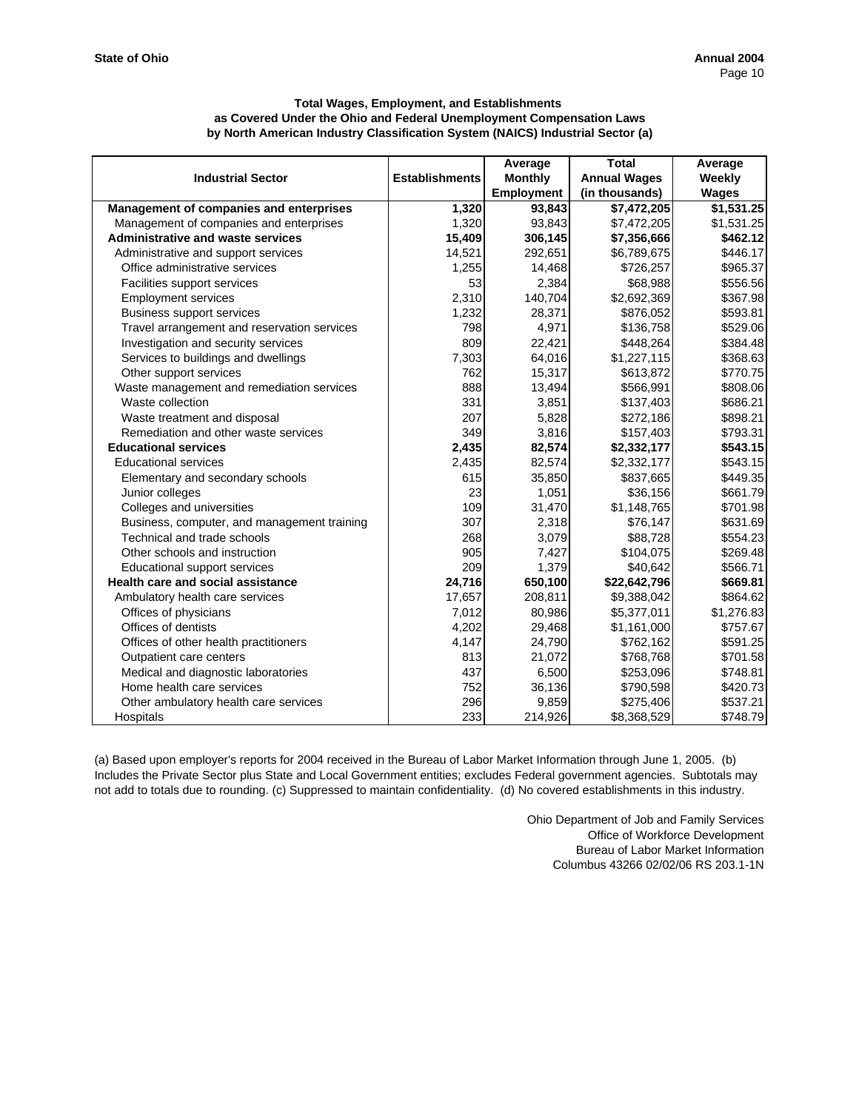|                                             |                       | Average           | <b>Total</b>        | Average    |
|---------------------------------------------|-----------------------|-------------------|---------------------|------------|
| <b>Industrial Sector</b>                    | <b>Establishments</b> | <b>Monthly</b>    | <b>Annual Wages</b> | Weekly     |
|                                             |                       | <b>Employment</b> | (in thousands)      | Wages      |
| Management of companies and enterprises     | 1,320                 | 93,843            | \$7,472,205         | \$1,531.25 |
| Management of companies and enterprises     | 1,320                 | 93,843            | \$7,472,205         | \$1,531.25 |
| <b>Administrative and waste services</b>    | 15,409                | 306,145           | \$7,356,666         | \$462.12   |
| Administrative and support services         | 14,521                | 292,651           | \$6,789,675         | \$446.17   |
| Office administrative services              | 1.255                 | 14,468            | \$726,257           | \$965.37   |
| Facilities support services                 | 53                    | 2,384             | \$68,988            | \$556.56   |
| <b>Employment services</b>                  | 2,310                 | 140,704           | \$2,692,369         | \$367.98   |
| <b>Business support services</b>            | 1,232                 | 28,371            | \$876,052           | \$593.81   |
| Travel arrangement and reservation services | 798                   | 4,971             | \$136,758           | \$529.06   |
| Investigation and security services         | 809                   | 22,421            | \$448,264           | \$384.48   |
| Services to buildings and dwellings         | 7,303                 | 64,016            | \$1,227,115         | \$368.63   |
| Other support services                      | 762                   | 15,317            | \$613,872           | \$770.75   |
| Waste management and remediation services   | 888                   | 13,494            | \$566,991           | \$808.06   |
| Waste collection                            | 331                   | 3,851             | \$137,403           | \$686.21   |
| Waste treatment and disposal                | 207                   | 5,828             | \$272,186           | \$898.21   |
| Remediation and other waste services        | 349                   | 3,816             | \$157,403           | \$793.31   |
| <b>Educational services</b>                 | 2,435                 | 82,574            | \$2,332,177         | \$543.15   |
| <b>Educational services</b>                 | 2,435                 | 82,574            | \$2,332,177         | \$543.15   |
| Elementary and secondary schools            | 615                   | 35,850            | \$837,665           | \$449.35   |
| Junior colleges                             | 23                    | 1,051             | \$36,156            | \$661.79   |
| Colleges and universities                   | 109                   | 31,470            | \$1,148,765         | \$701.98   |
| Business, computer, and management training | 307                   | 2,318             | \$76,147            | \$631.69   |
| Technical and trade schools                 | 268                   | 3,079             | \$88,728            | \$554.23   |
| Other schools and instruction               | 905                   | 7,427             | \$104,075           | \$269.48   |
| Educational support services                | 209                   | 1,379             | \$40,642            | \$566.71   |
| Health care and social assistance           | 24,716                | 650,100           | \$22,642,796        | \$669.81   |
| Ambulatory health care services             | 17,657                | 208,811           | \$9,388,042         | \$864.62   |
| Offices of physicians                       | 7,012                 | 80,986            | \$5,377,011         | \$1,276.83 |
| Offices of dentists                         | 4,202                 | 29,468            | \$1,161,000         | \$757.67   |
| Offices of other health practitioners       | 4,147                 | 24,790            | \$762,162           | \$591.25   |
| Outpatient care centers                     | 813                   | 21,072            | \$768,768           | \$701.58   |
| Medical and diagnostic laboratories         | 437                   | 6,500             | \$253,096           | \$748.81   |
| Home health care services                   | 752                   | 36,136            | \$790,598           | \$420.73   |
| Other ambulatory health care services       | 296                   | 9,859             | \$275,406           | \$537.21   |
| Hospitals                                   | 233                   | 214,926           | \$8,368,529         | \$748.79   |

(a) Based upon employer's reports for 2004 received in the Bureau of Labor Market Information through June 1, 2005. (b) Includes the Private Sector plus State and Local Government entities; excludes Federal government agencies. Subtotals may not add to totals due to rounding. (c) Suppressed to maintain confidentiality. (d) No covered establishments in this industry.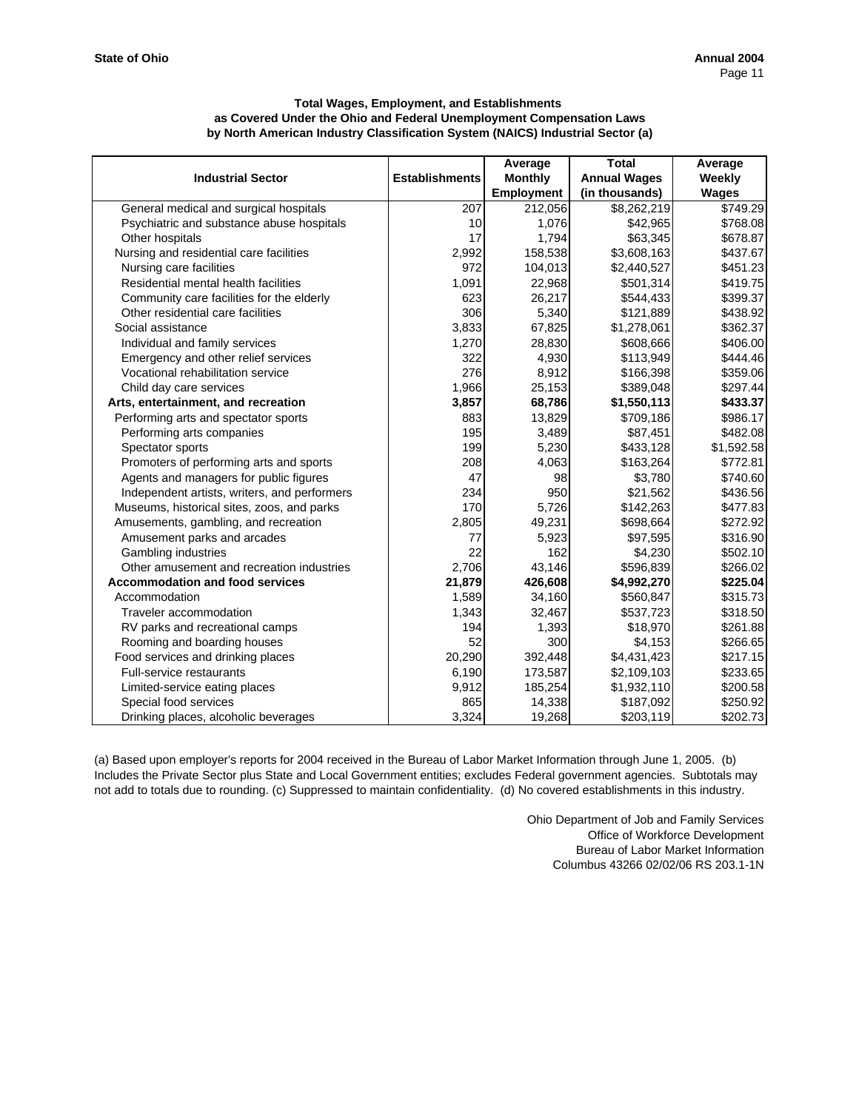|                                              |                       | Average           | <b>Total</b>        | Average      |
|----------------------------------------------|-----------------------|-------------------|---------------------|--------------|
| <b>Industrial Sector</b>                     | <b>Establishments</b> | <b>Monthly</b>    | <b>Annual Wages</b> | Weekly       |
|                                              |                       | <b>Employment</b> | (in thousands)      | <b>Wages</b> |
| General medical and surgical hospitals       | 207                   | 212,056           | \$8,262,219         | \$749.29     |
| Psychiatric and substance abuse hospitals    | 10                    | 1,076             | \$42,965            | \$768.08     |
| Other hospitals                              | 17                    | 1,794             | \$63,345            | \$678.87     |
| Nursing and residential care facilities      | 2,992                 | 158,538           | \$3,608,163         | \$437.67     |
| Nursing care facilities                      | 972                   | 104,013           | \$2,440,527         | \$451.23     |
| Residential mental health facilities         | 1,091                 | 22,968            | \$501,314           | \$419.75     |
| Community care facilities for the elderly    | 623                   | 26,217            | \$544,433           | \$399.37     |
| Other residential care facilities            | 306                   | 5,340             | \$121,889           | \$438.92     |
| Social assistance                            | 3,833                 | 67,825            | \$1,278,061         | \$362.37     |
| Individual and family services               | 1,270                 | 28,830            | \$608,666           | \$406.00     |
| Emergency and other relief services          | 322                   | 4,930             | \$113,949           | \$444.46     |
| Vocational rehabilitation service            | 276                   | 8,912             | \$166,398           | \$359.06     |
| Child day care services                      | 1,966                 | 25,153            | \$389,048           | \$297.44     |
| Arts, entertainment, and recreation          | 3,857                 | 68,786            | \$1,550,113         | \$433.37     |
| Performing arts and spectator sports         | 883                   | 13,829            | \$709,186           | \$986.17     |
| Performing arts companies                    | 195                   | 3,489             | \$87,451            | \$482.08     |
| Spectator sports                             | 199                   | 5,230             | \$433,128           | \$1,592.58   |
| Promoters of performing arts and sports      | 208                   | 4,063             | \$163,264           | \$772.81     |
| Agents and managers for public figures       | 47                    | 98                | \$3,780             | \$740.60     |
| Independent artists, writers, and performers | 234                   | 950               | \$21,562            | \$436.56     |
| Museums, historical sites, zoos, and parks   | 170                   | 5,726             | \$142,263           | \$477.83     |
| Amusements, gambling, and recreation         | 2,805                 | 49,231            | \$698,664           | \$272.92     |
| Amusement parks and arcades                  | 77                    | 5,923             | \$97,595            | \$316.90     |
| Gambling industries                          | 22                    | 162               | \$4,230             | \$502.10     |
| Other amusement and recreation industries    | 2,706                 | 43,146            | \$596,839           | \$266.02     |
| <b>Accommodation and food services</b>       | 21,879                | 426,608           | \$4,992,270         | \$225.04     |
| Accommodation                                | 1,589                 | 34,160            | \$560,847           | \$315.73     |
| Traveler accommodation                       | 1,343                 | 32,467            | \$537,723           | \$318.50     |
| RV parks and recreational camps              | 194                   | 1,393             | \$18,970            | \$261.88     |
| Rooming and boarding houses                  | 52                    | 300               | \$4,153             | \$266.65     |
| Food services and drinking places            | 20,290                | 392,448           | \$4,431,423         | \$217.15     |
| <b>Full-service restaurants</b>              | 6,190                 | 173,587           | \$2,109,103         | \$233.65     |
| Limited-service eating places                | 9,912                 | 185,254           | \$1,932,110         | \$200.58     |
| Special food services                        | 865                   | 14,338            | \$187,092           | \$250.92     |
| Drinking places, alcoholic beverages         | 3,324                 | 19,268            | \$203,119           | \$202.73     |

(a) Based upon employer's reports for 2004 received in the Bureau of Labor Market Information through June 1, 2005. (b) Includes the Private Sector plus State and Local Government entities; excludes Federal government agencies. Subtotals may not add to totals due to rounding. (c) Suppressed to maintain confidentiality. (d) No covered establishments in this industry.